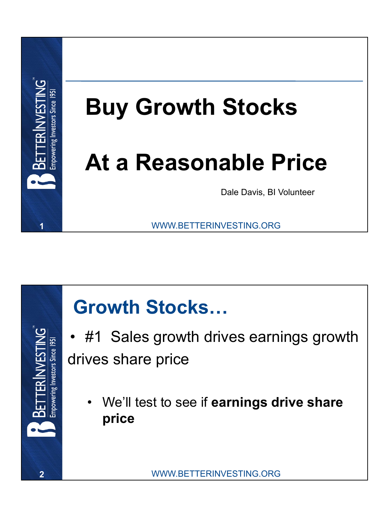



• #1 Sales growth drives earnings growth drives share price

• We'll test to see if **earnings drive share price**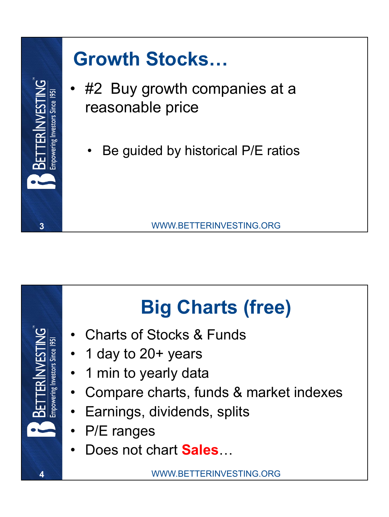



#### **Big Charts (free)**

- Charts of Stocks & Funds
- 1 day to 20+ years
- 1 min to yearly data
- Compare charts, funds & market indexes
- Earnings, dividends, splits
- P/E ranges
- Does not chart **Sales**…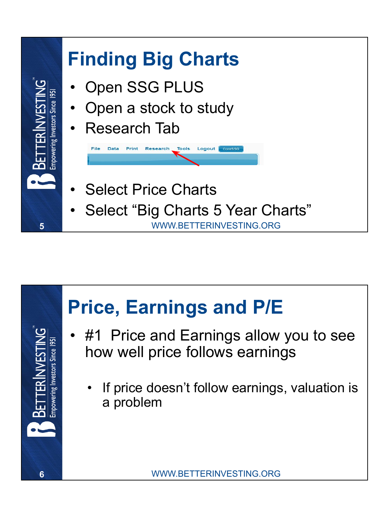

#### **Price, Earnings and P/E**

- #1 Price and Earnings allow you to see how well price follows earnings
	- If price doesn't follow earnings, valuation is a problem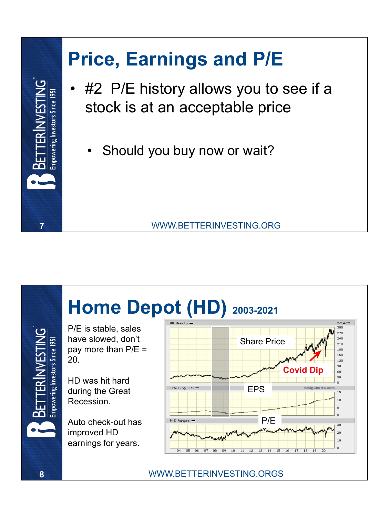### **Price, Earnings and P/E** #2 P/E history allows you to see if a powering Investors Since 195 stock is at an acceptable price Should you buy now or wait?

#### **7** WWW.BETTERINVESTING.ORG



**8** WWW.BETTERINVESTING.ORGS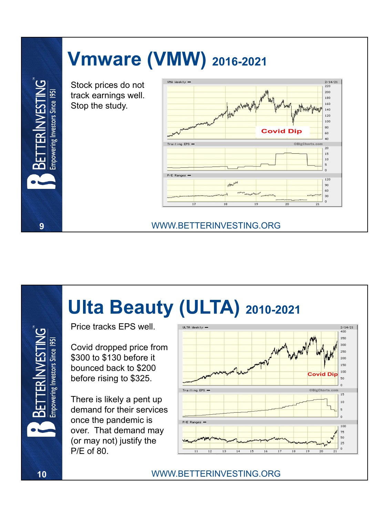

**9** WWW.BETTERINVESTING.ORG

Stock prices do not track earnings well. Stop the study.

Empowering Investors Since 195



#### **Ulta Beauty (ULTA) 2010-2021**

Price tracks EPS well.

Covid dropped price from \$300 to \$130 before it bounced back to \$200 before rising to \$325.

There is likely a pent up demand for their services once the pandemic is over. That demand may (or may not) justify the P/E of 80.



Empowering Investors Since 1951

in<br>E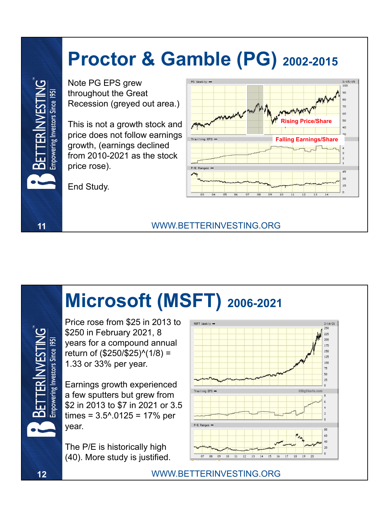#### **Proctor & Gamble (PG) 2002-2015**

Note PG EPS grew throughout the Great Recession (greyed out area.)

This is not a growth stock and price does not follow earnings growth, (earnings declined from 2010-2021 as the stock price rose).

End Study.

oowering Investors Since 1951



## **Microsoft (MSFT) 2006-2021**

**11** WWW.BETTERINVESTING.ORG

Price rose from \$25 in 2013 to \$250 in February 2021, 8 years for a compound annual return of (\$250/\$25)^(1/8) = 1.33 or 33% per year.

Earnings growth experienced a few sputters but grew from \$2 in 2013 to \$7 in 2021 or 3.5 times =  $3.5^{\circ}.0125 = 17\%$  per year.

The P/E is historically high (40). More study is justified.



**12** WWW.BETTERINVESTING.ORG

oowering Investors Since 195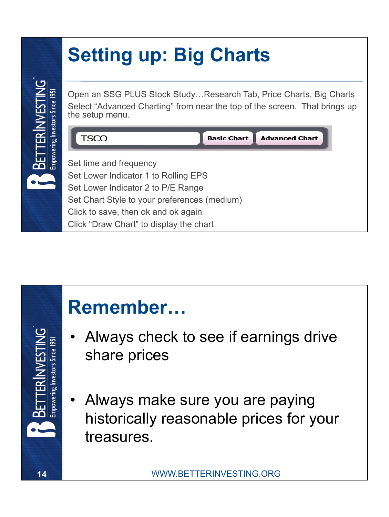#### **Setting up: Big Charts**

Open an SSG PLUS Stock Study…Research Tab, Price Charts, Big Charts Select "Advanced Charting" from near the top of the screen. That brings up the setup menu.





- Always check to see if earnings drive share prices
- Always make sure you are paying historically reasonable prices for your treasures.

powering Investors Since 195

powering Investors Since 195